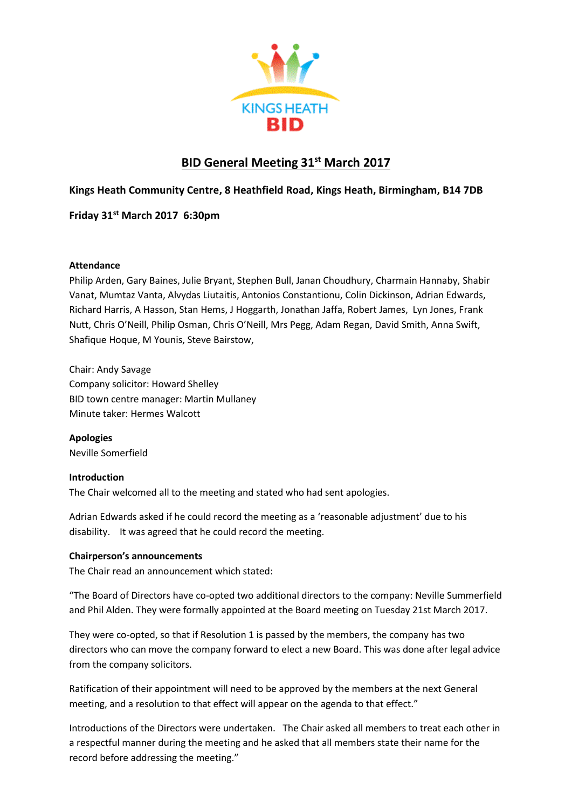

# **BID General Meeting 31st March 2017**

# **Kings Heath Community Centre, 8 Heathfield Road, Kings Heath, Birmingham, B14 7DB**

**Friday 31st March 2017 6:30pm**

## **Attendance**

Philip Arden, Gary Baines, Julie Bryant, Stephen Bull, Janan Choudhury, Charmain Hannaby, Shabir Vanat, Mumtaz Vanta, Alvydas Liutaitis, Antonios Constantionu, Colin Dickinson, Adrian Edwards, Richard Harris, A Hasson, Stan Hems, J Hoggarth, Jonathan Jaffa, Robert James, Lyn Jones, Frank Nutt, Chris O'Neill, Philip Osman, Chris O'Neill, Mrs Pegg, Adam Regan, David Smith, Anna Swift, Shafique Hoque, M Younis, Steve Bairstow,

Chair: Andy Savage Company solicitor: Howard Shelley BID town centre manager: Martin Mullaney Minute taker: Hermes Walcott

**Apologies** Neville Somerfield

## **Introduction**

The Chair welcomed all to the meeting and stated who had sent apologies.

Adrian Edwards asked if he could record the meeting as a 'reasonable adjustment' due to his disability. It was agreed that he could record the meeting.

## **Chairperson's announcements**

The Chair read an announcement which stated:

"The Board of Directors have co-opted two additional directors to the company: Neville Summerfield and Phil Alden. They were formally appointed at the Board meeting on Tuesday 21st March 2017.

They were co-opted, so that if Resolution 1 is passed by the members, the company has two directors who can move the company forward to elect a new Board. This was done after legal advice from the company solicitors.

Ratification of their appointment will need to be approved by the members at the next General meeting, and a resolution to that effect will appear on the agenda to that effect."

Introductions of the Directors were undertaken. The Chair asked all members to treat each other in a respectful manner during the meeting and he asked that all members state their name for the record before addressing the meeting."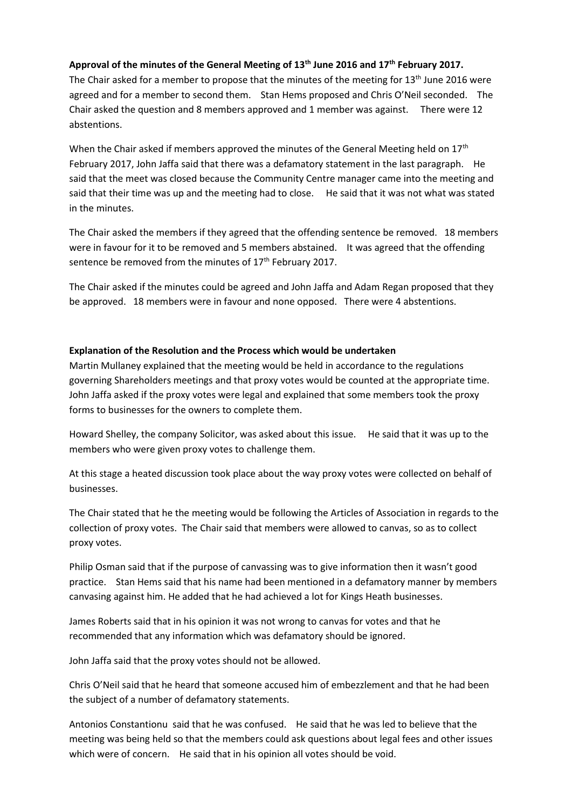#### **Approval of the minutes of the General Meeting of 13th June 2016 and 17th February 2017.**

The Chair asked for a member to propose that the minutes of the meeting for 13<sup>th</sup> June 2016 were agreed and for a member to second them. Stan Hems proposed and Chris O'Neil seconded. The Chair asked the question and 8 members approved and 1 member was against. There were 12 abstentions.

When the Chair asked if members approved the minutes of the General Meeting held on  $17<sup>th</sup>$ February 2017, John Jaffa said that there was a defamatory statement in the last paragraph. He said that the meet was closed because the Community Centre manager came into the meeting and said that their time was up and the meeting had to close. He said that it was not what was stated in the minutes.

The Chair asked the members if they agreed that the offending sentence be removed. 18 members were in favour for it to be removed and 5 members abstained. It was agreed that the offending sentence be removed from the minutes of 17<sup>th</sup> February 2017.

The Chair asked if the minutes could be agreed and John Jaffa and Adam Regan proposed that they be approved. 18 members were in favour and none opposed. There were 4 abstentions.

#### **Explanation of the Resolution and the Process which would be undertaken**

Martin Mullaney explained that the meeting would be held in accordance to the regulations governing Shareholders meetings and that proxy votes would be counted at the appropriate time. John Jaffa asked if the proxy votes were legal and explained that some members took the proxy forms to businesses for the owners to complete them.

Howard Shelley, the company Solicitor, was asked about this issue. He said that it was up to the members who were given proxy votes to challenge them.

At this stage a heated discussion took place about the way proxy votes were collected on behalf of businesses.

The Chair stated that he the meeting would be following the Articles of Association in regards to the collection of proxy votes. The Chair said that members were allowed to canvas, so as to collect proxy votes.

Philip Osman said that if the purpose of canvassing was to give information then it wasn't good practice. Stan Hems said that his name had been mentioned in a defamatory manner by members canvasing against him. He added that he had achieved a lot for Kings Heath businesses.

James Roberts said that in his opinion it was not wrong to canvas for votes and that he recommended that any information which was defamatory should be ignored.

John Jaffa said that the proxy votes should not be allowed.

Chris O'Neil said that he heard that someone accused him of embezzlement and that he had been the subject of a number of defamatory statements.

Antonios Constantionu said that he was confused. He said that he was led to believe that the meeting was being held so that the members could ask questions about legal fees and other issues which were of concern. He said that in his opinion all votes should be void.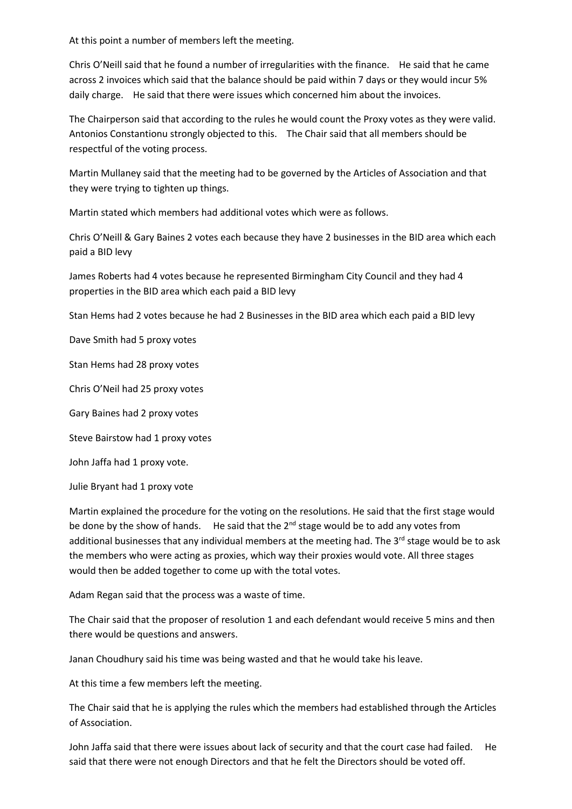At this point a number of members left the meeting.

Chris O'Neill said that he found a number of irregularities with the finance. He said that he came across 2 invoices which said that the balance should be paid within 7 days or they would incur 5% daily charge. He said that there were issues which concerned him about the invoices.

The Chairperson said that according to the rules he would count the Proxy votes as they were valid. Antonios Constantionu strongly objected to this. The Chair said that all members should be respectful of the voting process.

Martin Mullaney said that the meeting had to be governed by the Articles of Association and that they were trying to tighten up things.

Martin stated which members had additional votes which were as follows.

Chris O'Neill & Gary Baines 2 votes each because they have 2 businesses in the BID area which each paid a BID levy

James Roberts had 4 votes because he represented Birmingham City Council and they had 4 properties in the BID area which each paid a BID levy

Stan Hems had 2 votes because he had 2 Businesses in the BID area which each paid a BID levy

Dave Smith had 5 proxy votes

Stan Hems had 28 proxy votes

Chris O'Neil had 25 proxy votes

Gary Baines had 2 proxy votes

Steve Bairstow had 1 proxy votes

John Jaffa had 1 proxy vote.

Julie Bryant had 1 proxy vote

Martin explained the procedure for the voting on the resolutions. He said that the first stage would be done by the show of hands. He said that the  $2^{nd}$  stage would be to add any votes from additional businesses that any individual members at the meeting had. The 3<sup>rd</sup> stage would be to ask the members who were acting as proxies, which way their proxies would vote. All three stages would then be added together to come up with the total votes.

Adam Regan said that the process was a waste of time.

The Chair said that the proposer of resolution 1 and each defendant would receive 5 mins and then there would be questions and answers.

Janan Choudhury said his time was being wasted and that he would take his leave.

At this time a few members left the meeting.

The Chair said that he is applying the rules which the members had established through the Articles of Association.

John Jaffa said that there were issues about lack of security and that the court case had failed. He said that there were not enough Directors and that he felt the Directors should be voted off.